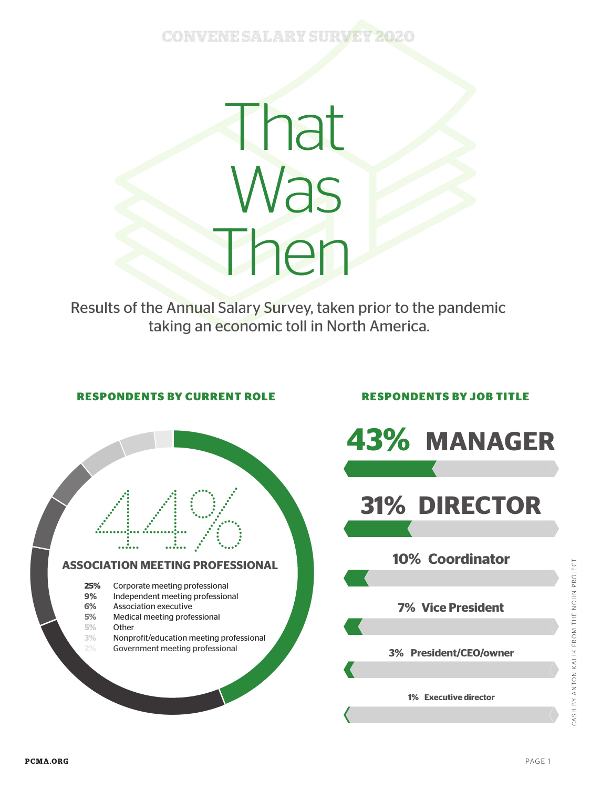## **CONVENE SALARY SURVE**

That Was Then

Results of the Annual Salary Survey, taken prior to the pandemic taking an economic toll in North America.



 $\bigcirc$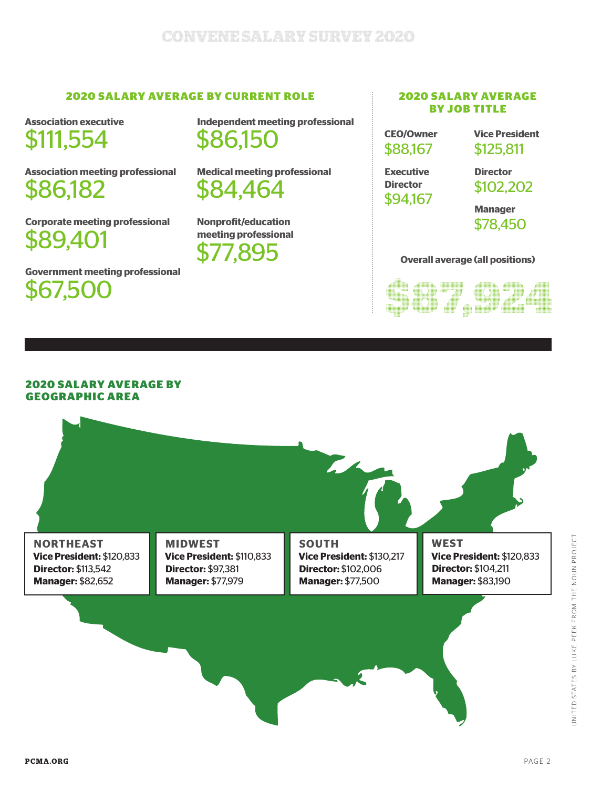### **2020 SALARY AVERAGE BY CURRENT ROLE**

**Association executive**  \$111,554

**Association meeting professional**  \$86,182

**Corporate meeting professional**  \$89,401

**Government meeting professional**  \$67,500

**Independent meeting professional** \$86,150

**Medical meeting professional**  \$84,464

**Nonprofit/education meeting professional**  \$77,895

#### **2020 SALARY AVERAGE BY JOB TITLE**

| <b>CEO/Owner</b> |  |
|------------------|--|
| \$88,167         |  |

**Vice President** \$125,811

**Executive Director**  \$94,167 **Director**  \$102,202

**Manager** \$78,450

#### **Overall average (all positions)**



#### **2020 SALARY AVERAGE BY GEOGRAPHIC AREA**

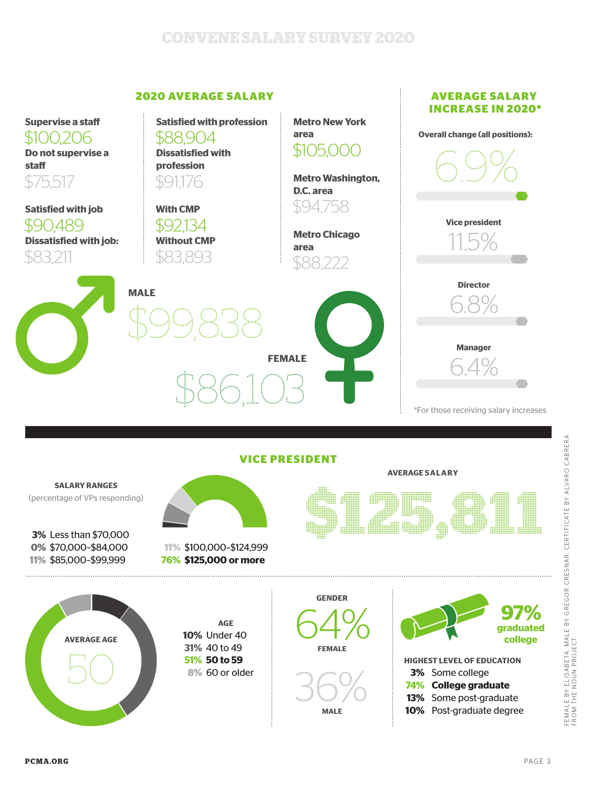# **Convene Salary Survey 2020**

### **2020 AVERAGE SALARY**



FEMALE BY ELISABETA, MALE BY GREGOR CRESNAR. CERTIFICATE BY ALVARO CABRERA<br>FROM THE NOUN PROJECT FEMALE BY ELISABETA , MALE BY GREGOR CRESNAR. CERTIFICATE BY ALVARO CABRERA FROM THE NOUN PROJECT

**AVERAGE SALARY**